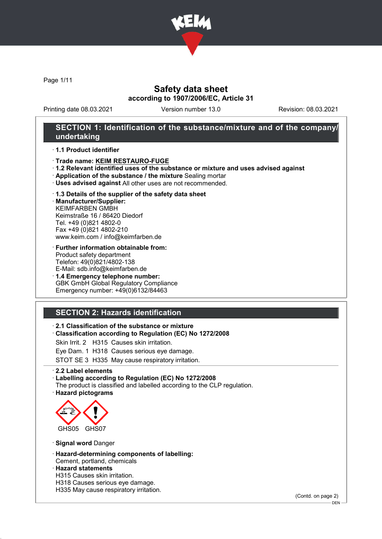

Page 1/11

## Safety data sheet according to 1907/2006/EC, Article 31

Printing date 08.03.2021 Version number 13.0 Revision: 08.03.2021

## SECTION 1: Identification of the substance/mixture and of the company/ undertaking

#### · 1.1 Product identifier

- · Trade name: KEIM RESTAURO-FUGE
- · 1.2 Relevant identified uses of the substance or mixture and uses advised against
- · Application of the substance / the mixture Sealing mortar
- · Uses advised against All other uses are not recommended.

#### · 1.3 Details of the supplier of the safety data sheet

· Manufacturer/Supplier: KEIMFARBEN GMBH Keimstraße 16 / 86420 Diedorf Tel. +49 (0)821 4802-0 Fax +49 (0)821 4802-210 www.keim.com / info@keimfarben.de

- · Further information obtainable from: Product safety department Telefon: 49(0)821/4802-138 E-Mail: sdb.info@keimfarben.de
- · 1.4 Emergency telephone number: GBK GmbH Global Regulatory Compliance Emergency number: +49(0)6132/84463

# SECTION 2: Hazards identification

### · 2.1 Classification of the substance or mixture

· Classification according to Regulation (EC) No 1272/2008

Skin Irrit. 2 H315 Causes skin irritation.

Eye Dam. 1 H318 Causes serious eye damage.

STOT SE 3 H335 May cause respiratory irritation.

· 2.2 Label elements

#### · Labelling according to Regulation (EC) No 1272/2008

The product is classified and labelled according to the CLP regulation. · Hazard pictograms



· Signal word Danger

- · Hazard-determining components of labelling:
- Cement, portland, chemicals · Hazard statements
- H315 Causes skin irritation.
- H318 Causes serious eye damage.
- H335 May cause respiratory irritation.

(Contd. on page 2)

DEN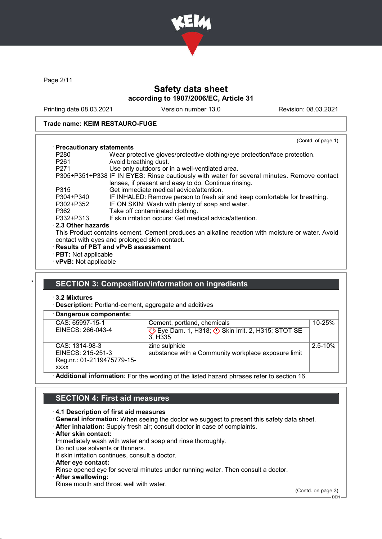

Page 2/11

# Safety data sheet according to 1907/2006/EC, Article 31

Printing date 08.03.2021 Version number 13.0 Revision: 08.03.2021

### Trade name: KEIM RESTAURO-FUGE

|                             | (Contd. of page 1)                                                                               |
|-----------------------------|--------------------------------------------------------------------------------------------------|
| · Precautionary statements  |                                                                                                  |
| P <sub>280</sub>            | Wear protective gloves/protective clothing/eye protection/face protection.                       |
| P <sub>261</sub>            | Avoid breathing dust.                                                                            |
| P <sub>271</sub>            | Use only outdoors or in a well-ventilated area.                                                  |
|                             | P305+P351+P338 IF IN EYES: Rinse cautiously with water for several minutes. Remove contact       |
|                             | lenses, if present and easy to do. Continue rinsing.                                             |
| P315                        | Get immediate medical advice/attention.                                                          |
| P304+P340                   | IF INHALED: Remove person to fresh air and keep comfortable for breathing.                       |
| P302+P352                   | IF ON SKIN: Wash with plenty of soap and water.                                                  |
| P362                        | Take off contaminated clothing.                                                                  |
| P332+P313                   | If skin irritation occurs: Get medical advice/attention.                                         |
| 2.3 Other hazards           |                                                                                                  |
|                             | This Product contains cement. Cement produces an alkaline reaction with moisture or water. Avoid |
|                             | contact with eyes and prolonged skin contact.                                                    |
|                             | · Results of PBT and vPvB assessment                                                             |
| $\cdot$ PBT: Not applicable |                                                                                                  |
| · vPvB: Not applicable      |                                                                                                  |

## SECTION 3: Composition/information on ingredients

· 3.2 Mixtures

· Description: Portland-cement, aggregate and additives

| · Dangerous components:                                                                   |                                                                                  |             |
|-------------------------------------------------------------------------------------------|----------------------------------------------------------------------------------|-------------|
| CAS: 65997-15-1                                                                           | Cement, portland, chemicals                                                      | $10 - 25%$  |
| EINECS: 266-043-4                                                                         | Eye Dam. 1, H318; $\Diamond$ Skin Irrit. 2, H315; STOT SE<br>3. H <sub>335</sub> |             |
| CAS: 1314-98-3                                                                            | zinc sulphide                                                                    | $2.5 - 10%$ |
| EINECS: 215-251-3                                                                         | substance with a Community workplace exposure limit                              |             |
| Reg.nr.: 01-2119475779-15-                                                                |                                                                                  |             |
| <b>XXXX</b>                                                                               |                                                                                  |             |
| Additional information: For the wording of the listed hazard phrases refer to section 16. |                                                                                  |             |

# SECTION 4: First aid measures

### · 4.1 Description of first aid measures

- · General information: When seeing the doctor we suggest to present this safety data sheet.
- · After inhalation: Supply fresh air; consult doctor in case of complaints.
- · After skin contact:

Immediately wash with water and soap and rinse thoroughly.

Do not use solvents or thinners. If skin irritation continues, consult a doctor.

- 
- · After eye contact:

Rinse opened eye for several minutes under running water. Then consult a doctor.

After swallowing:

Rinse mouth and throat well with water.

(Contd. on page 3)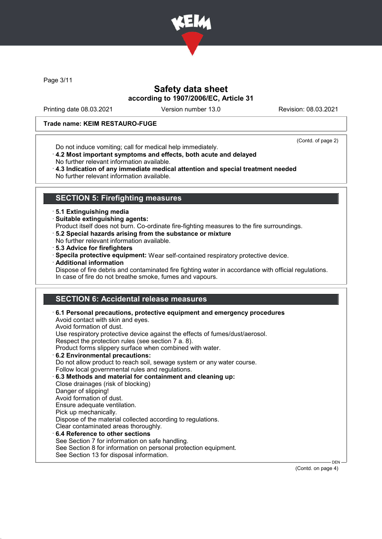

Page 3/11

# Safety data sheet according to 1907/2006/EC, Article 31

Printing date 08.03.2021 Version number 13.0 Revision: 08.03.2021

#### Trade name: KEIM RESTAURO-FUGE

Do not induce vomiting; call for medical help immediately.

(Contd. of page 2)

- · 4.2 Most important symptoms and effects, both acute and delayed
- No further relevant information available.
- · 4.3 Indication of any immediate medical attention and special treatment needed No further relevant information available.

## SECTION 5: Firefighting measures

- · 5.1 Extinguishing media
- · Suitable extinguishing agents:
- Product itself does not burn. Co-ordinate fire-fighting measures to the fire surroundings.
- · 5.2 Special hazards arising from the substance or mixture
- No further relevant information available.
- · 5.3 Advice for firefighters
- · Specila protective equipment: Wear self-contained respiratory protective device.
- · Additional information
- Dispose of fire debris and contaminated fire fighting water in accordance with official regulations. In case of fire do not breathe smoke, fumes and vapours.

# SECTION 6: Accidental release measures

| See Section 8 for information on personal protection equipment.<br>See Section 13 for disposal information. |
|-------------------------------------------------------------------------------------------------------------|
|-------------------------------------------------------------------------------------------------------------|

(Contd. on page 4)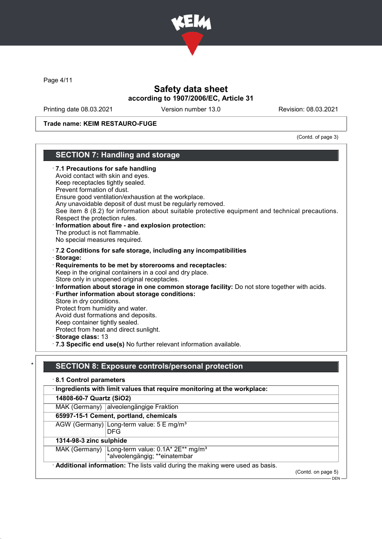

Page 4/11

## Safety data sheet according to 1907/2006/EC, Article 31

Printing date 08.03.2021 Version number 13.0 Revision: 08.03.2021

#### Trade name: KEIM RESTAURO-FUGE

(Contd. of page 3)

## SECTION 7: Handling and storage · 7.1 Precautions for safe handling Avoid contact with skin and eyes. Keep receptacles tightly sealed. Prevent formation of dust. Ensure good ventilation/exhaustion at the workplace. Any unavoidable deposit of dust must be regularly removed. See item 8 (8.2) for information about suitable protective equipment and technical precautions. Respect the protection rules. · Information about fire - and explosion protection: The product is not flammable. No special measures required. · 7.2 Conditions for safe storage, including any incompatibilities · Storage: · Requirements to be met by storerooms and receptacles: Keep in the original containers in a cool and dry place. Store only in unopened original receptacles. · Information about storage in one common storage facility: Do not store together with acids. · Further information about storage conditions: Store in dry conditions. Protect from humidity and water. Avoid dust formations and deposits. Keep container tightly sealed. Protect from heat and direct sunlight. · Storage class: 13 · 7.3 Specific end use(s) No further relevant information available. SECTION 8: Exposure controls/personal protection · 8.1 Control parameters · Ingredients with limit values that require monitoring at the workplace: 14808-60-7 Quartz (SiO2) MAK (Germany) alveolengängige Fraktion

65997-15-1 Cement, portland, chemicals

AGW (Germany) Long-term value: 5 E mg/m<sup>3</sup>

DFG

1314-98-3 zinc sulphide

MAK (Germany) Long-term value: 0.1A\* 2E\*\* mg/m<sup>3</sup> \*alveolengängig; \*\*einatembar

Additional information: The lists valid during the making were used as basis.

(Contd. on page 5)

 $-$  DEN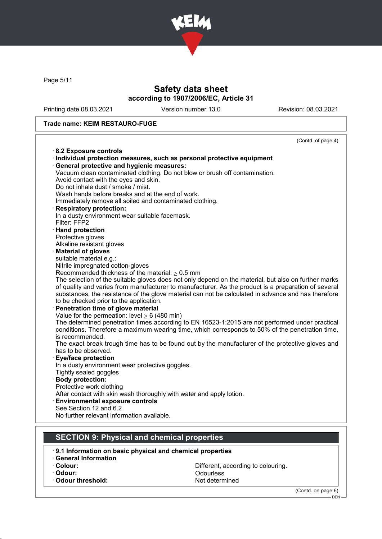

Page 5/11

# Safety data sheet according to 1907/2006/EC, Article 31

Printing date 08.03.2021 Version number 13.0 Revision: 08.03.2021

### Trade name: KEIM RESTAURO-FUGE

|                                                                                                                         | (Contd. of page 4) |
|-------------------------------------------------------------------------------------------------------------------------|--------------------|
| 8.2 Exposure controls                                                                                                   |                    |
| · Individual protection measures, such as personal protective equipment                                                 |                    |
| · General protective and hygienic measures:                                                                             |                    |
| Vacuum clean contaminated clothing. Do not blow or brush off contamination.                                             |                    |
| Avoid contact with the eyes and skin.                                                                                   |                    |
| Do not inhale dust / smoke / mist.                                                                                      |                    |
| Wash hands before breaks and at the end of work.                                                                        |                    |
| Immediately remove all soiled and contaminated clothing.                                                                |                    |
| <b>Respiratory protection:</b>                                                                                          |                    |
| In a dusty environment wear suitable facemask.                                                                          |                    |
| Filter: FFP2                                                                                                            |                    |
| · Hand protection                                                                                                       |                    |
| Protective gloves                                                                                                       |                    |
| Alkaline resistant gloves                                                                                               |                    |
| <b>Material of gloves</b>                                                                                               |                    |
| suitable material e.g.:                                                                                                 |                    |
| Nitrile impregnated cotton-gloves                                                                                       |                    |
| Recommended thickness of the material: $\geq 0.5$ mm                                                                    |                    |
| The selection of the suitable gloves does not only depend on the material, but also on further marks                    |                    |
| of quality and varies from manufacturer to manufacturer. As the product is a preparation of several                     |                    |
| substances, the resistance of the glove material can not be calculated in advance and has therefore                     |                    |
| to be checked prior to the application.                                                                                 |                    |
| · Penetration time of glove material                                                                                    |                    |
| Value for the permeation: level $\geq 6$ (480 min)                                                                      |                    |
| The determined penetration times according to EN 16523-1:2015 are not performed under practical                         |                    |
| conditions. Therefore a maximum wearing time, which corresponds to 50% of the penetration time,                         |                    |
| is recommended.                                                                                                         |                    |
| The exact break trough time has to be found out by the manufacturer of the protective gloves and<br>has to be observed. |                    |
| <b>Eye/face protection</b>                                                                                              |                    |
| In a dusty environment wear protective goggles.                                                                         |                    |
| Tightly sealed goggles                                                                                                  |                    |
| · Body protection:                                                                                                      |                    |
| Protective work clothing                                                                                                |                    |
| After contact with skin wash thoroughly with water and apply lotion.                                                    |                    |
| <b>Environmental exposure controls</b>                                                                                  |                    |
| See Section 12 and 6.2                                                                                                  |                    |
| No further relevant information available.                                                                              |                    |
|                                                                                                                         |                    |
|                                                                                                                         |                    |
| <b>SECTION 9: Physical and chemical properties</b>                                                                      |                    |
| 0.4 Information on hoois physical and obemical proportion                                                               |                    |

- 9.1 Information on basic physical and chemical properties
- · General Information
- 
- 

 $\cdot$  Odour threshold:

· Colour: Colour: Colouring Colouring Colouring Colouring Colouring Colouring Colouring Colouring Colouring Colouring Colouring Colouring Colouring Colouring Colouring Colouring Colouring Colouring Colouring Colouring Colo Odourless<br>Not determined

(Contd. on page 6)

DEN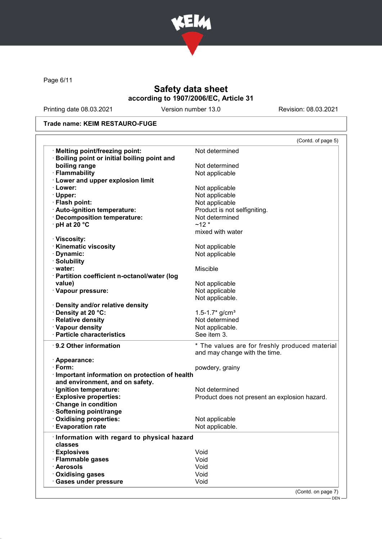

Page 6/11

# Safety data sheet according to 1907/2006/EC, Article 31

Printing date 08.03.2021 Version number 13.0 Revision: 08.03.2021

### Trade name: KEIM RESTAURO-FUGE

| Not determined<br>Not determined<br>Not applicable<br>Not applicable |
|----------------------------------------------------------------------|
|                                                                      |
|                                                                      |
|                                                                      |
|                                                                      |
|                                                                      |
|                                                                      |
| Not applicable                                                       |
| Not applicable                                                       |
| Product is not selfigniting.                                         |
| Not determined                                                       |
| $~12*$                                                               |
| mixed with water                                                     |
|                                                                      |
| Not applicable                                                       |
| Not applicable                                                       |
|                                                                      |
| Miscible                                                             |
|                                                                      |
| Not applicable                                                       |
| Not applicable                                                       |
| Not applicable.                                                      |
|                                                                      |
| $1.5 - 1.7$ * g/cm <sup>3</sup>                                      |
| Not determined                                                       |
| Not applicable.                                                      |
| See item 3.                                                          |
| * The values are for freshly produced material                       |
| and may change with the time.                                        |
|                                                                      |
| powdery, grainy                                                      |
| · Important information on protection of health                      |
|                                                                      |
| Not determined                                                       |
| Product does not present an explosion hazard.                        |
|                                                                      |
|                                                                      |
| Not applicable                                                       |
| Not applicable.                                                      |
| Information with regard to physical hazard                           |
|                                                                      |
| Void                                                                 |
| Void                                                                 |
| Void                                                                 |
| Void                                                                 |
| Void                                                                 |
| (Contd. on page 7)                                                   |
|                                                                      |

- DEN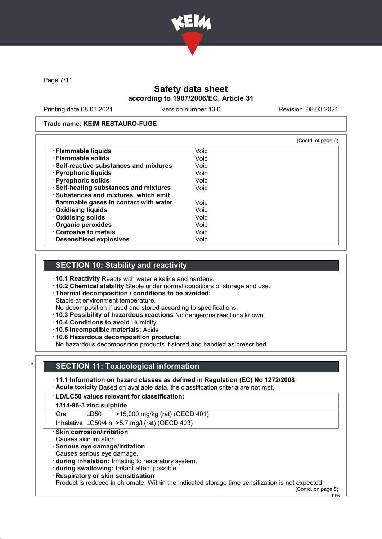

Page 7/11

# Safety data sheet according to 1907/2006/EC, Article 31

Printing date 08.03.2021 Version number 13.0 Revision: 08.03.2021

#### Trade name: KEIM RESTAURO-FUGE

|                                         |      | (Contd. of page 6) |
|-----------------------------------------|------|--------------------|
| · Flammable liquids                     | Void |                    |
| · Flammable solids                      | Void |                    |
| · Self-reactive substances and mixtures | Void |                    |
| · Pyrophoric liquids                    | Void |                    |
| · Pyrophoric solids                     | Void |                    |
| · Self-heating substances and mixtures  | Void |                    |
| · Substances and mixtures, which emit   |      |                    |
| flammable gases in contact with water   | Void |                    |
| <b>Oxidising liquids</b>                | Void |                    |
| Oxidising solids                        | Void |                    |
| · Organic peroxides                     | Void |                    |
| Corrosive to metals                     | Void |                    |
| · Desensitised explosives               | Void |                    |

## SECTION 10: Stability and reactivity

- · 10.1 Reactivity Reacts with water alkaline and hardens.
- · 10.2 Chemical stability Stable under normal conditions of storage and use.
- · Thermal decomposition / conditions to be avoided:

Stable at environment temperature.

No decomposition if used and stored according to specifications.

- · 10.3 Possibility of hazardous reactions No dangerous reactions known.
- · 10.4 Conditions to avoid Humidity
- · 10.5 Incompatible materials: Acids
- · 10.6 Hazardous decomposition products:

No hazardous decomposition products if stored and handled as prescribed.

# **SECTION 11: Toxicological information**

## · 11.1 Information on hazard classes as defined in Regulation (EC) No 1272/2008

· Acute toxicity Based on available data, the classification criteria are not met.

### · LD/LC50 values relevant for classification:

#### 1314-98-3 zinc sulphide

| Oral | LD50 | $ >15,000$ mg/kg (rat) (OECD 401)                   |
|------|------|-----------------------------------------------------|
|      |      | Inhalative $ LC50/4 h $ > 5.7 mg/l (rat) (OECD 403) |

# · Skin corrosion/irritation

Causes skin irritation.

### · Serious eye damage/irritation

- Causes serious eye damage.
- · during inhalation: Irritating to respiratory system.
- · during swallowing: Irritant effect possible
- · Respiratory or skin sensitisation

Product is reduced in chromate. Within the indicated storage time sensitization is not expected.

(Contd. on page 8)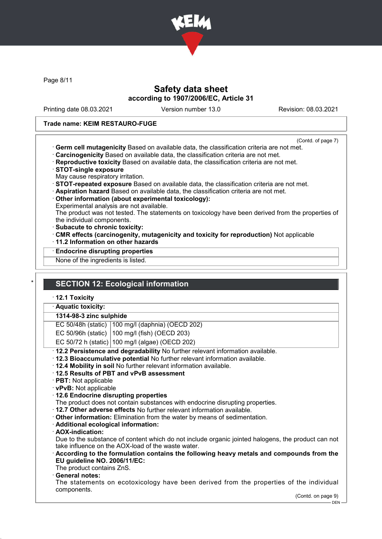

Page 8/11

## Safety data sheet according to 1907/2006/EC, Article 31

Printing date 08.03.2021 Version number 13.0 Revision: 08.03.2021

#### Trade name: KEIM RESTAURO-FUGE

- (Contd. of page 7)
- · Germ cell mutagenicity Based on available data, the classification criteria are not met.
- · Carcinogenicity Based on available data, the classification criteria are not met.
- · Reproductive toxicity Based on available data, the classification criteria are not met.
- · STOT-single exposure
- May cause respiratory irritation.
- · STOT-repeated exposure Based on available data, the classification criteria are not met.
- · Aspiration hazard Based on available data, the classification criteria are not met.
- · Other information (about experimental toxicology):
- Experimental analysis are not available.

The product was not tested. The statements on toxicology have been derived from the properties of the individual components.

- · Subacute to chronic toxicity:
- · CMR effects (carcinogenity, mutagenicity and toxicity for reproduction) Not applicable
- · 11.2 Information on other hazards
- · Endocrine disrupting properties

None of the ingredients is listed.

# **SECTION 12: Ecological information**

· 12.1 Toxicity

· Aquatic toxicity:

#### 1314-98-3 zinc sulphide

EC 50/48h (static) 100 mg/l (daphnia) (OECD 202)

EC 50/96h (static)  $100 \text{ m}$ g/l (fish) (OECD 203)

EC 50/72 h (static) 100 mg/l (algae) (OECD 202)

- · 12.2 Persistence and degradability No further relevant information available.
- · 12.3 Bioaccumulative potential No further relevant information available.
- · 12.4 Mobility in soil No further relevant information available.
- · 12.5 Results of PBT and vPvB assessment
- · PBT: Not applicable
- · vPvB: Not applicable
- · 12.6 Endocrine disrupting properties
- The product does not contain substances with endocrine disrupting properties.
- · 12.7 Other adverse effects No further relevant information available.
- · Other information: Elimination from the water by means of sedimentation.
- · Additional ecological information:
- · AOX-indication:

Due to the substance of content which do not include organic jointed halogens, the product can not take influence on the AOX-load of the waste water.

- · According to the formulation contains the following heavy metals and compounds from the EU guideline NO. 2006/11/EC:
- The product contains ZnS.
- General notes:

The statements on ecotoxicology have been derived from the properties of the individual components.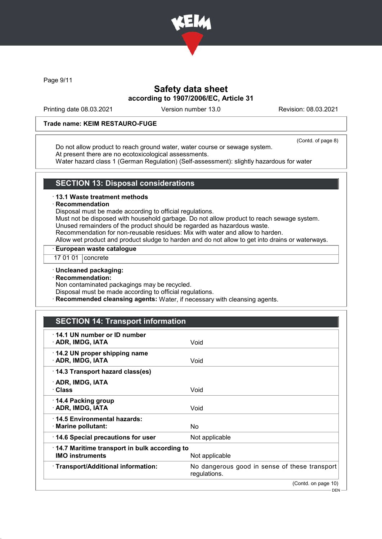

Page 9/11

## Safety data sheet according to 1907/2006/EC, Article 31

Printing date 08.03.2021 Version number 13.0 Revision: 08.03.2021

### Trade name: KEIM RESTAURO-FUGE

(Contd. of page 8)

Do not allow product to reach ground water, water course or sewage system. At present there are no ecotoxicological assessments.

Water hazard class 1 (German Regulation) (Self-assessment): slightly hazardous for water

## SECTION 13: Disposal considerations

#### · 13.1 Waste treatment methods

#### **Recommendation**

Disposal must be made according to official regulations.

Must not be disposed with household garbage. Do not allow product to reach sewage system. Unused remainders of the product should be regarded as hazardous waste.

Recommendation for non-reusable residues: Mix with water and allow to harden.

Allow wet product and product sludge to harden and do not allow to get into drains or waterways.

### · European waste catalogue

17 01 01 | concrete

### · Uncleaned packaging:

· Recommendation:

Non contaminated packagings may be recycled.

Disposal must be made according to official regulations.

· Recommended cleansing agents: Water, if necessary with cleansing agents.

# SECTION 14: Transport information

| 14.1 UN number or ID number<br>· ADR, IMDG, IATA                       | Void                                                          |
|------------------------------------------------------------------------|---------------------------------------------------------------|
| 14.2 UN proper shipping name<br>· ADR, IMDG, IATA                      | Void                                                          |
| 14.3 Transport hazard class(es)                                        |                                                               |
| · ADR, IMDG, IATA<br>∴Class                                            | Void                                                          |
| 14.4 Packing group<br>· ADR, IMDG, IATA                                | Void                                                          |
| 14.5 Environmental hazards:<br>· Marine pollutant:                     | No                                                            |
| 14.6 Special precautions for user                                      | Not applicable                                                |
| 14.7 Maritime transport in bulk according to<br><b>IMO instruments</b> | Not applicable                                                |
| · Transport/Additional information:                                    | No dangerous good in sense of these transport<br>regulations. |
|                                                                        | (Contd. on page 10)                                           |
|                                                                        | — DEN —                                                       |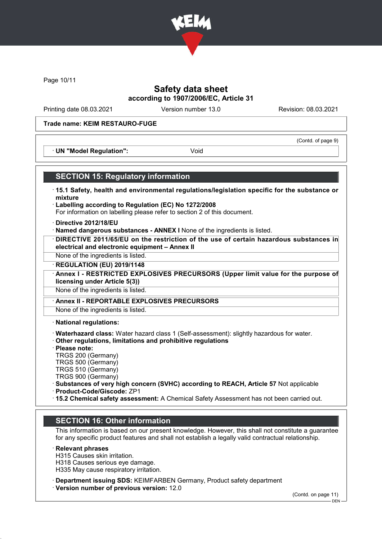

Page 10/11

## Safety data sheet according to 1907/2006/EC, Article 31

Printing date 08.03.2021 Version number 13.0 Revision: 08.03.2021

(Contd. of page 9)

#### Trade name: KEIM RESTAURO-FUGE

· UN "Model Regulation": Void

### SECTION 15: Regulatory information

- · 15.1 Safety, health and environmental regulations/legislation specific for the substance or mixture
- · Labelling according to Regulation (EC) No 1272/2008 For information on labelling please refer to section 2 of this document.
- · Directive 2012/18/EU
- · Named dangerous substances ANNEX I None of the ingredients is listed.
- · DIRECTIVE 2011/65/EU on the restriction of the use of certain hazardous substances in electrical and electronic equipment – Annex II
- None of the ingredients is listed.
- · REGULATION (EU) 2019/1148
- Annex I RESTRICTED EXPLOSIVES PRECURSORS (Upper limit value for the purpose of licensing under Article 5(3))

None of the ingredients is listed.

Annex II - REPORTABLE EXPLOSIVES PRECURSORS

None of the ingredients is listed.

· National regulations:

- · Waterhazard class: Water hazard class 1 (Self-assessment): slightly hazardous for water.
- · Other regulations, limitations and prohibitive regulations
- · Please note:
- TRGS 200 (Germany)
- TRGS 500 (Germany)
- TRGS 510 (Germany) TRGS 900 (Germany)
- 
- · Substances of very high concern (SVHC) according to REACH, Article 57 Not applicable · Product-Code/Giscode: ZP1
- 
- · 15.2 Chemical safety assessment: A Chemical Safety Assessment has not been carried out.

## SECTION 16: Other information

This information is based on our present knowledge. However, this shall not constitute a guarantee for any specific product features and shall not establish a legally valid contractual relationship.

### **Relevant phrases**

H315 Causes skin irritation. H318 Causes serious eye damage. H335 May cause respiratory irritation.

· Department issuing SDS: KEIMFARBEN Germany, Product safety department

· Version number of previous version: 12.0

(Contd. on page 11)

DEN